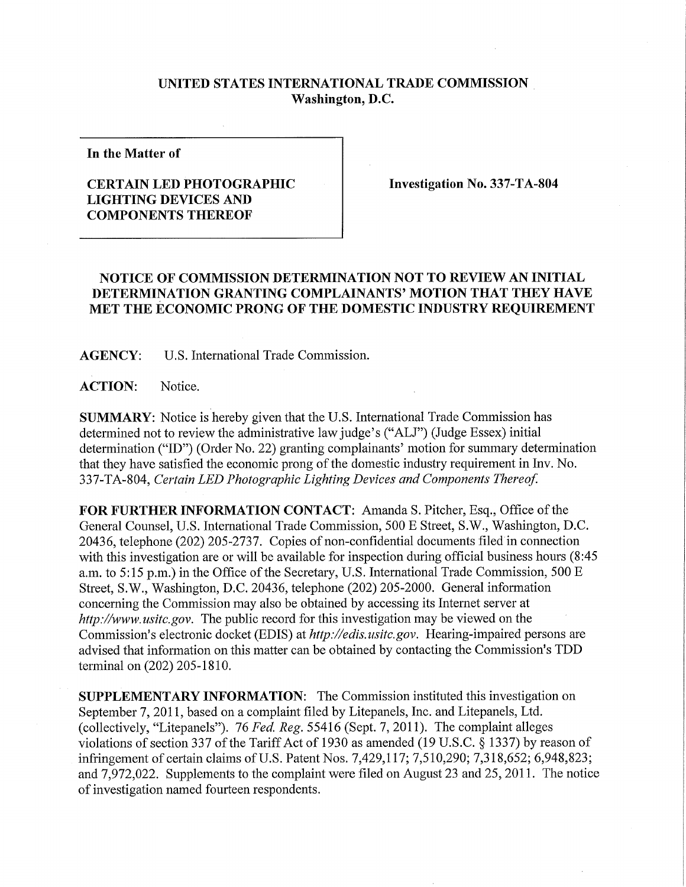## **UNITED STATES INTERNATIONAL TRADE COMMISSION Washington, D.C.**

**In the Matter of** 

## **CERTAIN LED PHOTOGRAPHIC LIGHTING DEVICES AND COMPONENTS THEREOF**

**Investigation No. 337-TA-804** 

## **NOTICE OF COMMISSION DETERMINATION NOT TO REVIEW AN INITIAL DETERMINATION GRANTING COMPLAINANTS' MOTION THAT THE Y HAVE MET THE ECONOMIC PRONG OF THE DOMESTIC INDUSTRY REQUIREMENT**

**AGENCY:** U.S. International Trade Commission.

**ACTION:** Notice.

**SUMMARY:** Notice is hereby given that the U.S. International Trade Commission has determined not to review the administrative law judge's ("ALJ") (Judge Essex) initial determination ("ID") (Order No. 22) granting complainants' motion for summary determination that they have satisfied the economic prong of the domestic industry requirement in Inv. No. 337-TA-804, *Certain LED Photographic Lighting Devices and Components Thereof.* 

**FOR FURTHER INFORMATION CONTACT:** Amanda S. Pitcher, Esq., Office of the General Counsel, U.S. International Trade Commission, 500 E Street, S.W., Washington, D.C. 20436, telephone (202) 205-2737. Copies of non-confidential documents filed in connection with this investigation are or will be available for inspection during official business hours (8:45 a.m. to 5:15 p.m.) in the Office of the Secretary, U.S. International Trade Commission, 500 E Street, S.W., Washington, D.C. 20436, telephone (202) 205-2000. General information concerning the Commission may also be obtained by accessing its Internet server at *http://www. usitc.gov.* The public record for this investigation may be viewed on the Commission's electronic docket (EDIS) at *http://edis.usitc.gov.* Hearing-impaired persons are advised that information on this matter can be obtained by contacting the Commission's TDD terminal on (202) 205-1810.

**SUPPLEMENTARY INFORMATION:** The Commission instituted this investigation on September 7, 2011, based on a complaint filed by Litepanels, Inc. and Litepanels, Ltd. (collectively, "Litepanels"). 76 *Fed. Reg.* 55416 (Sept. 7, 2011). The complaint alleges violations of section 337 ofthe Tariff Act of 1930 as amended (19 U.S.C. § 1337) by reason of infringement of certain claims of U.S. Patent Nos. 7,429,117; 7,510,290; 7,318,652; 6,948,823; and 7,972,022. Supplements to the complaint were filed on August 23 and 25, 2011. The notice of investigation named fourteen respondents.